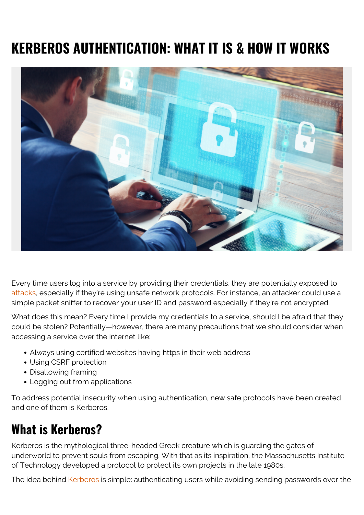# **KERBEROS AUTHENTICATION: WHAT IT IS & HOW IT WORKS**



Every time users log into a service by providing their credentials, they are potentially exposed to [attacks,](https://blogs.bmc.com/blogs/cybercrime/) especially if they're using unsafe network protocols. For instance, an attacker could use a simple packet sniffer to recover your user ID and password especially if they're not encrypted.

What does this mean? Every time I provide my credentials to a service, should I be afraid that they could be stolen? Potentially—however, there are many precautions that we should consider when accessing a service over the internet like:

- Always using certified websites having https in their web address
- Using CSRF protection
- Disallowing framing
- Logging out from applications

To address potential insecurity when using authentication, new safe protocols have been created and one of them is Kerberos.

### **What is Kerberos?**

Kerberos is the mythological three-headed Greek creature which is guarding the gates of underworld to prevent souls from escaping. With that as its inspiration, the Massachusetts Institute of Technology developed a protocol to protect its own projects in the late 1980s.

The idea behind [Kerberos](https://web.mit.edu/kerberos/) is simple: authenticating users while avoiding sending passwords over the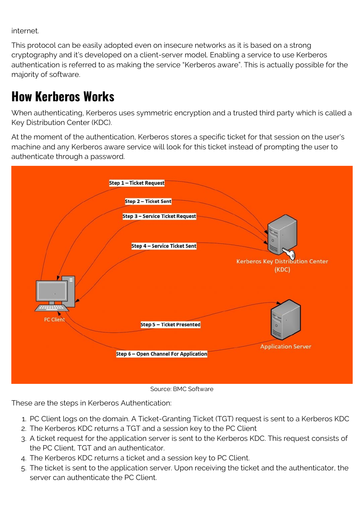internet.

This protocol can be easily adopted even on insecure networks as it is based on a strong cryptography and it's developed on a client-server model. Enabling a service to use Kerberos authentication is referred to as making the service "Kerberos aware". This is actually possible for the majority of software.

### **How Kerberos Works**

When authenticating, Kerberos uses symmetric encryption and a trusted third party which is called a Key Distribution Center (KDC).

At the moment of the authentication, Kerberos stores a specific ticket for that session on the user's machine and any Kerberos aware service will look for this ticket instead of prompting the user to authenticate through a password.



Source: BMC Software

These are the steps in Kerberos Authentication:

- 1. PC Client logs on the domain. A Ticket-Granting Ticket (TGT) request is sent to a Kerberos KDC
- 2. The Kerberos KDC returns a TGT and a session key to the PC Client
- 3. A ticket request for the application server is sent to the Kerberos KDC. This request consists of the PC Client, TGT and an authenticator.
- 4. The Kerberos KDC returns a ticket and a session key to PC Client.
- 5. The ticket is sent to the application server. Upon receiving the ticket and the authenticator, the server can authenticate the PC Client.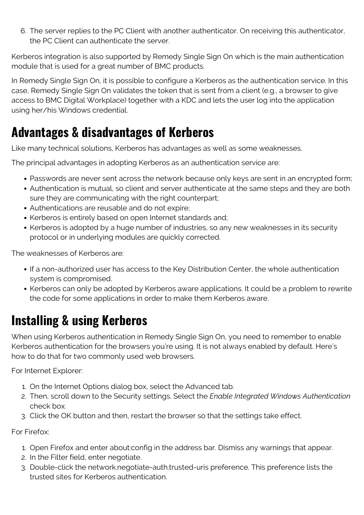6. The server replies to the PC Client with another authenticator. On receiving this authenticator, the PC Client can authenticate the server.

Kerberos integration is also supported by Remedy Single Sign On which is the main authentication module that is used for a great number of BMC products.

In Remedy Single Sign On, it is possible to configure a Kerberos as the authentication service. In this case, Remedy Single Sign On validates the token that is sent from a client (e.g., a browser to give access to BMC Digital Workplace) together with a KDC and lets the user log into the application using her/his Windows credential.

#### **Advantages & disadvantages of Kerberos**

Like many technical solutions, Kerberos has advantages as well as some weaknesses.

The principal advantages in adopting Kerberos as an authentication service are:

- Passwords are never sent across the network because only keys are sent in an encrypted form;
- Authentication is mutual, so client and server authenticate at the same steps and they are both sure they are communicating with the right counterpart;
- Authentications are reusable and do not expire;
- Kerberos is entirely based on open Internet standards and;
- Kerberos is adopted by a huge number of industries, so any new weaknesses in its security protocol or in underlying modules are quickly corrected.

The weaknesses of Kerberos are:

- If a non-authorized user has access to the Key Distribution Center, the whole authentication system is compromised.
- Kerberos can only be adopted by Kerberos aware applications. It could be a problem to rewrite the code for some applications in order to make them Kerberos aware.

## **Installing & using Kerberos**

When using Kerberos authentication in Remedy Single Sign On, you need to remember to enable Kerberos authentication for the browsers you're using. It is not always enabled by default. Here's how to do that for two commonly used web browsers.

For Internet Explorer:

- 1. On the Internet Options dialog box, select the Advanced tab.
- 2. Then, scroll down to the Security settings. Select the *Enable Integrated Windows Authentication* check box.
- 3. Click the OK button and then, restart the browser so that the settings take effect.

For Firefox:

- 1. Open Firefox and enter about:config in the address bar. Dismiss any warnings that appear.
- 2. In the Filter field, enter negotiate.
- 3. Double-click the network.negotiate-auth.trusted-uris preference. This preference lists the trusted sites for Kerberos authentication.